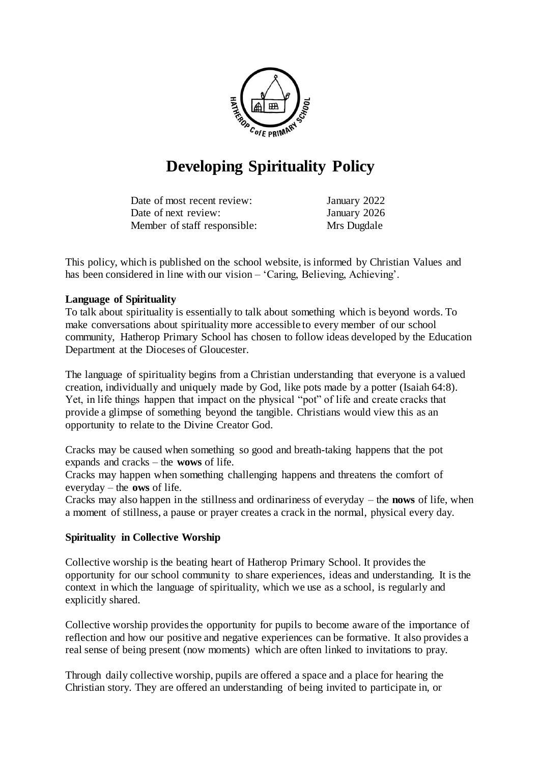

# **Developing Spirituality Policy**

| Date of most recent review:  | January 2022 |
|------------------------------|--------------|
| Date of next review:         | January 2026 |
| Member of staff responsible: | Mrs Dugdale  |

This policy, which is published on the school website, is informed by Christian Values and has been considered in line with our vision – 'Caring, Believing, Achieving'.

### **Language of Spirituality**

To talk about spirituality is essentially to talk about something which is beyond words. To make conversations about spirituality more accessible to every member of our school community, Hatherop Primary School has chosen to follow ideas developed by the Education Department at the Dioceses of Gloucester.

The language of spirituality begins from a Christian understanding that everyone is a valued creation, individually and uniquely made by God, like pots made by a potter (Isaiah 64:8). Yet, in life things happen that impact on the physical "pot" of life and create cracks that provide a glimpse of something beyond the tangible. Christians would view this as an opportunity to relate to the Divine Creator God.

Cracks may be caused when something so good and breath-taking happens that the pot expands and cracks – the **wows** of life.

Cracks may happen when something challenging happens and threatens the comfort of everyday – the **ows** of life.

Cracks may also happen in the stillness and ordinariness of everyday – the **nows** of life, when a moment of stillness, a pause or prayer creates a crack in the normal, physical every day.

#### **Spirituality in Collective Worship**

Collective worship is the beating heart of Hatherop Primary School. It provides the opportunity for our school community to share experiences, ideas and understanding. It is the context in which the language of spirituality, which we use as a school, is regularly and explicitly shared.

Collective worship provides the opportunity for pupils to become aware of the importance of reflection and how our positive and negative experiences can be formative. It also provides a real sense of being present (now moments) which are often linked to invitations to pray.

Through daily collective worship, pupils are offered a space and a place for hearing the Christian story. They are offered an understanding of being invited to participate in, or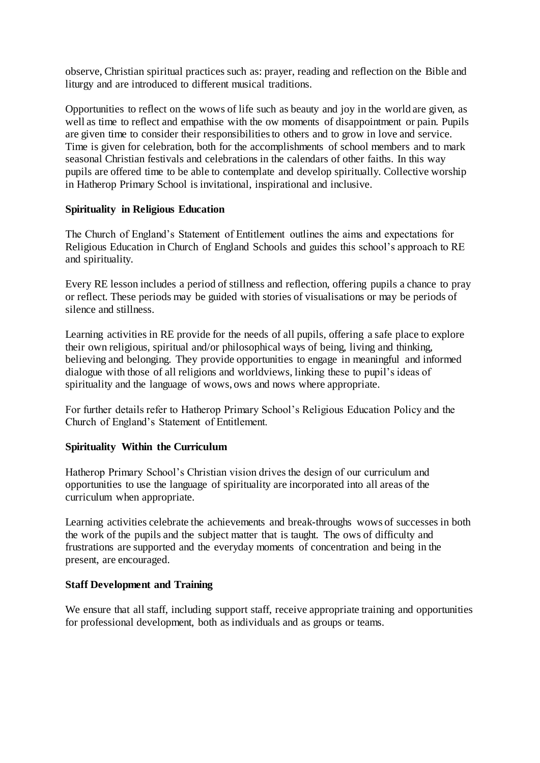observe, Christian spiritual practices such as: prayer, reading and reflection on the Bible and liturgy and are introduced to different musical traditions.

Opportunities to reflect on the wows of life such as beauty and joy in the world are given, as well as time to reflect and empathise with the ow moments of disappointment or pain. Pupils are given time to consider their responsibilities to others and to grow in love and service. Time is given for celebration, both for the accomplishments of school members and to mark seasonal Christian festivals and celebrations in the calendars of other faiths. In this way pupils are offered time to be able to contemplate and develop spiritually. Collective worship in Hatherop Primary School is invitational, inspirational and inclusive.

### **Spirituality in Religious Education**

The Church of England's Statement of Entitlement outlines the aims and expectations for Religious Education in Church of England Schools and guides this school's approach to RE and spirituality.

Every RE lesson includes a period of stillness and reflection, offering pupils a chance to pray or reflect. These periods may be guided with stories of visualisations or may be periods of silence and stillness.

Learning activities in RE provide for the needs of all pupils, offering a safe place to explore their own religious, spiritual and/or philosophical ways of being, living and thinking, believing and belonging. They provide opportunities to engage in meaningful and informed dialogue with those of all religions and worldviews, linking these to pupil's ideas of spirituality and the language of wows, ows and nows where appropriate.

For further details refer to Hatherop Primary School's Religious Education Policy and the Church of England's Statement of Entitlement.

## **Spirituality Within the Curriculum**

Hatherop Primary School's Christian vision drives the design of our curriculum and opportunities to use the language of spirituality are incorporated into all areas of the curriculum when appropriate.

Learning activities celebrate the achievements and break-throughs wows of successes in both the work of the pupils and the subject matter that is taught. The ows of difficulty and frustrations are supported and the everyday moments of concentration and being in the present, are encouraged.

#### **Staff Development and Training**

We ensure that all staff, including support staff, receive appropriate training and opportunities for professional development, both as individuals and as groups or teams.